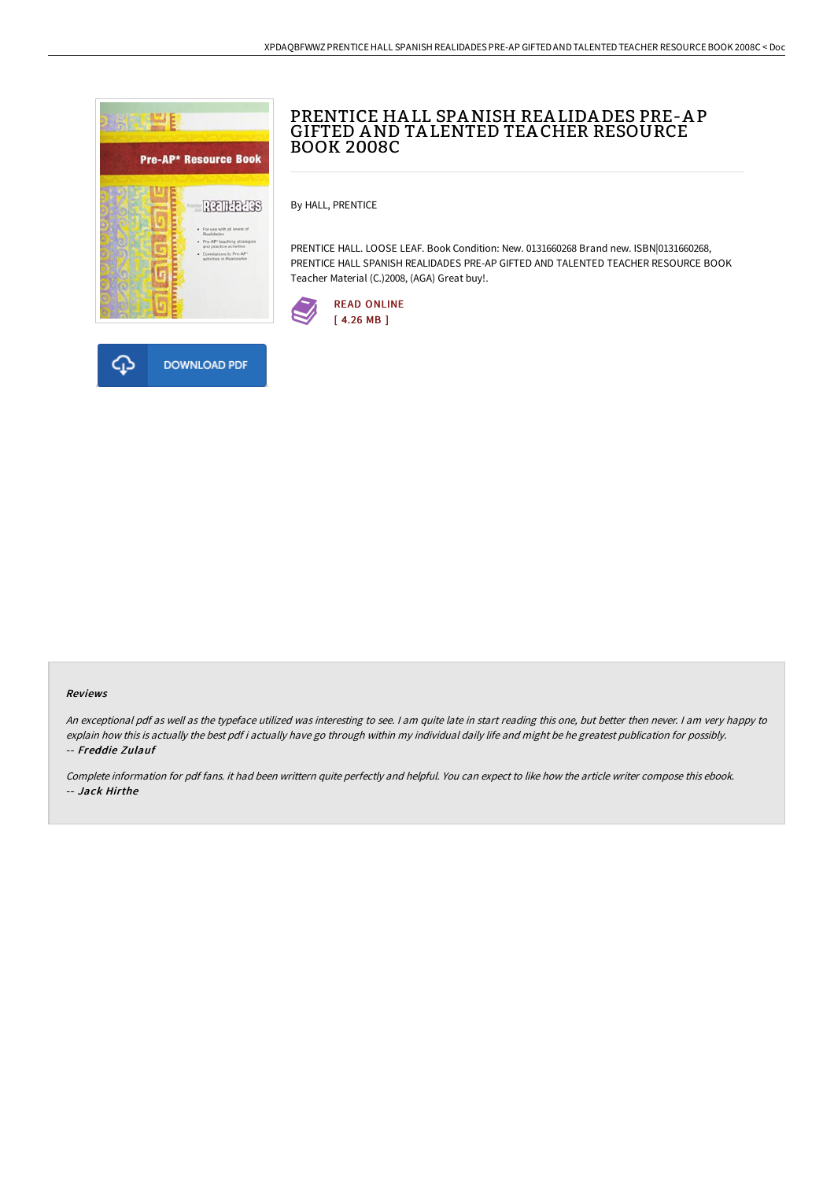



By HALL, PRENTICE

PRENTICE HALL. LOOSE LEAF. Book Condition: New. 0131660268 Brand new. ISBN|0131660268, PRENTICE HALL SPANISH REALIDADES PRE-AP GIFTED AND TALENTED TEACHER RESOURCE BOOK Teacher Material (C.)2008, (AGA) Great buy!.



### Reviews

An exceptional pdf as well as the typeface utilized was interesting to see. I am quite late in start reading this one, but better then never. I am very happy to explain how this is actually the best pdf i actually have go through within my individual daily life and might be he greatest publication for possibly. -- Freddie Zulauf

Complete information for pdf fans. it had been writtern quite perfectly and helpful. You can expect to like how the article writer compose this ebook. -- Jack Hirthe